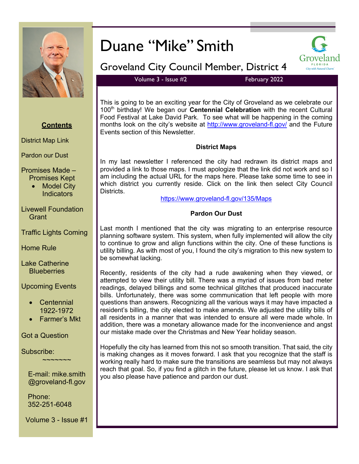

# Duane "Mike" Smith



## Groveland City Council Member, District 4

Volume 3 - Issue #2 February 2022

This is going to be an exciting year for the City of Groveland as we celebrate our 100<sup>th</sup> birthday! We began our **Centennial Celebration** with the recent Cultural Food Festival at Lake David Park. To see what will be happening in the coming months look on the city's website at http://www.groveland-fl.gov/ and the Future Events section of this Newsletter.

#### **District Maps**

In my last newsletter I referenced the city had redrawn its district maps and provided a link to those maps. I must apologize that the link did not work and so I am including the actual URL for the maps here. Please take some time to see in which district you currently reside. Click on the link then select City Council Districts.

https://www.groveland-fl.gov/135/Maps

#### **Pardon Our Dust**

Last month I mentioned that the city was migrating to an enterprise resource planning software system. This system, when fully implemented will allow the city to continue to grow and align functions within the city. One of these functions is utility billing. As with most of you, I found the city's migration to this new system to be somewhat lacking.

Recently, residents of the city had a rude awakening when they viewed, or attempted to view their utility bill. There was a myriad of issues from bad meter readings, delayed billings and some technical glitches that produced inaccurate bills. Unfortunately, there was some communication that left people with more questions than answers. Recognizing all the various ways it may have impacted a resident's billing, the city elected to make amends. We adjusted the utility bills of all residents in a manner that was intended to ensure all were made whole. In addition, there was a monetary allowance made for the inconvenience and angst our mistake made over the Christmas and New Year holiday season.

Hopefully the city has learned from this not so smooth transition. That said, the city is making changes as it moves forward. I ask that you recognize that the staff is working really hard to make sure the transitions are seamless but may not always reach that goal. So, if you find a glitch in the future, please let us know. I ask that you also please have patience and pardon our dust.

### **Contents**

District Map Link

Pardon our Dust

Promises Made – Promises Kept

**Model City Indicators** 

Livewell Foundation **Grant** 

Traffic Lights Coming

Home Rule

Lake Catherine **Blueberries** 

Upcoming Events

- Centennial 1922-1972
- Farmer's Mkt

Got a Question

Subscribe:

E-mail: mike.smith @groveland-fl.gov

~~~~~~~

Phone: 352-251-6048

Volume 3 - Issue #1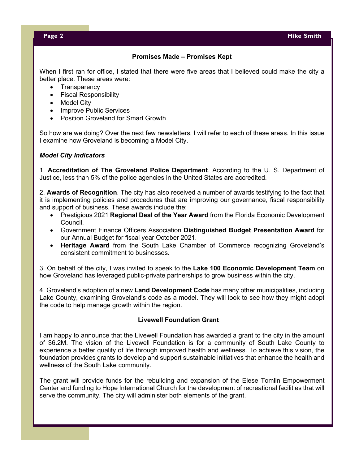#### **Promises Made – Promises Kept**

When I first ran for office, I stated that there were five areas that I believed could make the city a better place. These areas were:

- Transparency
- Fiscal Responsibility
- Model City
- Improve Public Services
- Position Groveland for Smart Growth

So how are we doing? Over the next few newsletters, I will refer to each of these areas. In this issue I examine how Groveland is becoming a Model City.

#### *Model City Indicators*

1. **Accreditation of The Groveland Police Department**. According to the U. S. Department of Justice, less than 5% of the police agencies in the United States are accredited.

2. **Awards of Recognition**. The city has also received a number of awards testifying to the fact that it is implementing policies and procedures that are improving our governance, fiscal responsibility and support of business. These awards include the:

- Prestigious 2021 **Regional Deal of the Year Award** from the Florida Economic Development Council.
- Government Finance Officers Association **Distinguished Budget Presentation Award** for our Annual Budget for fiscal year October 2021.
- **Heritage Award** from the South Lake Chamber of Commerce recognizing Groveland's consistent commitment to businesses.

3. On behalf of the city, I was invited to speak to the **Lake 100 Economic Development Team** on how Groveland has leveraged public-private partnerships to grow business within the city.

4. Groveland's adoption of a new **Land Development Code** has many other municipalities, including Lake County, examining Groveland's code as a model. They will look to see how they might adopt the code to help manage growth within the region.

#### **Livewell Foundation Grant**

I am happy to announce that the Livewell Foundation has awarded a grant to the city in the amount of \$6.2M. The vision of the Livewell Foundation is for a community of South Lake County to experience a better quality of life through improved health and wellness. To achieve this vision, the foundation provides grants to develop and support sustainable initiatives that enhance the health and wellness of the South Lake community.

The grant will provide funds for the rebuilding and expansion of the Elese Tomlin Empowerment Center and funding to Hope International Church for the development of recreational facilities that will serve the community. The city will administer both elements of the grant.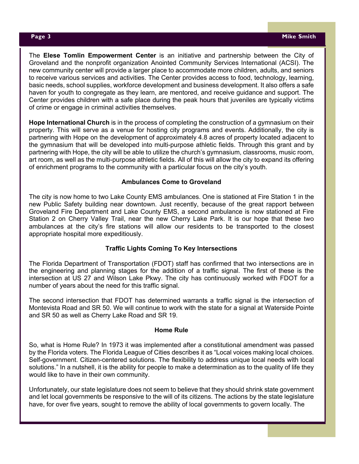The **Elese Tomlin Empowerment Center** is an initiative and partnership between the City of Groveland and the nonprofit organization Anointed Community Services International (ACSI). The new community center will provide a larger place to accommodate more children, adults, and seniors to receive various services and activities. The Center provides access to food, technology, learning, basic needs, school supplies, workforce development and business development. It also offers a safe haven for youth to congregate as they learn, are mentored, and receive guidance and support. The Center provides children with a safe place during the peak hours that juveniles are typically victims of crime or engage in criminal activities themselves.

**Hope International Church** is in the process of completing the construction of a gymnasium on their property. This will serve as a venue for hosting city programs and events. Additionally, the city is partnering with Hope on the development of approximately 4.8 acres of property located adjacent to the gymnasium that will be developed into multi-purpose athletic fields. Through this grant and by partnering with Hope, the city will be able to utilize the church's gymnasium, classrooms, music room, art room, as well as the multi-purpose athletic fields. All of this will allow the city to expand its offering of enrichment programs to the community with a particular focus on the city's youth.

#### **Ambulances Come to Groveland**

The city is now home to two Lake County EMS ambulances. One is stationed at Fire Station 1 in the new Public Safety building near downtown. Just recently, because of the great rapport between Groveland Fire Department and Lake County EMS, a second ambulance is now stationed at Fire Station 2 on Cherry Valley Trail, near the new Cherry Lake Park. It is our hope that these two ambulances at the city's fire stations will allow our residents to be transported to the closest appropriate hospital more expeditiously.

#### **Traffic Lights Coming To Key Intersections**

The Florida Department of Transportation (FDOT) staff has confirmed that two intersections are in the engineering and planning stages for the addition of a traffic signal. The first of these is the intersection at US 27 and Wilson Lake Pkwy. The city has continuously worked with FDOT for a number of years about the need for this traffic signal.

The second intersection that FDOT has determined warrants a traffic signal is the intersection of Montevista Road and SR 50. We will continue to work with the state for a signal at Waterside Pointe and SR 50 as well as Cherry Lake Road and SR 19.

#### **Home Rule**

So, what is Home Rule? In 1973 it was implemented after a constitutional amendment was passed by the Florida voters. The Florida League of Cities describes it as "Local voices making local choices. Self-government. Citizen-centered solutions. The flexibility to address unique local needs with local solutions." In a nutshell, it is the ability for people to make a determination as to the quality of life they would like to have in their own community.

Unfortunately, our state legislature does not seem to believe that they should shrink state government and let local governments be responsive to the will of its citizens. The actions by the state legislature have, for over five years, sought to remove the ability of local governments to govern locally. The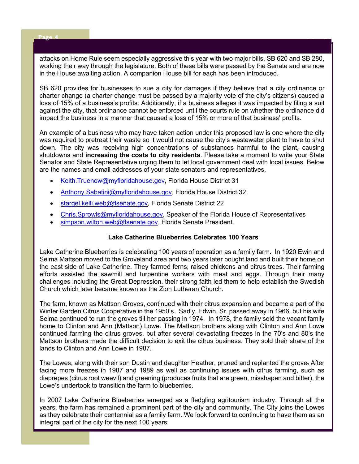#### **Page 4 Mike Bank Smither Smither Smither Smither Smither Smither Smither Smither Smither Smither Smither Smither**

attacks on Home Rule seem especially aggressive this year with two major bills, SB 620 and SB 280, working their way through the legislature. Both of these bills were passed by the Senate and are now in the House awaiting action. A companion House bill for each has been introduced.

SB 620 provides for businesses to sue a city for damages if they believe that a city ordinance or charter change (a charter change must be passed by a majority vote of the city's citizens) caused a loss of 15% of a business's profits. Additionally, if a business alleges it was impacted by filing a suit against the city, that ordinance cannot be enforced until the courts rule on whether the ordinance did impact the business in a manner that caused a loss of 15% or more of that business' profits.

An example of a business who may have taken action under this proposed law is one where the city was required to pretreat their waste so it would not cause the city's wastewater plant to have to shut down. The city was receiving high concentrations of substances harmful to the plant, causing shutdowns and **increasing the costs to city residents**. Please take a moment to write your State Senator and State Representative urging them to let local government deal with local issues. Below are the names and email addresses of your state senators and representatives.

- Keith.Truenow@myfloridahouse.gov, Florida House District 31
- Anthony.Sabatini@myfloridahouse.gov, Florida House District 32
- stargel.kelli.web@flsenate.gov*,* Florida Senate District 22
- Chris.Sprowls@myfloridahouse.gov, Speaker of the Florida House of Representatives
- simpson.wilton.web@flsenate.gov, Florida Senate President.

#### **Lake Catherine Blueberries Celebrates 100 Years**

Lake Catherine Blueberries is celebrating 100 years of operation as a family farm. In 1920 Ewin and Selma Mattson moved to the Groveland area and two years later bought land and built their home on the east side of Lake Catherine. They farmed ferns, raised chickens and citrus trees. Their farming efforts assisted the sawmill and turpentine workers with meat and eggs. Through their many challenges including the Great Depression, their strong faith led them to help establish the Swedish Church which later became known as the Zion Lutheran Church.

The farm, known as Mattson Groves, continued with their citrus expansion and became a part of the Winter Garden Citrus Cooperative in the 1950's. Sadly, Edwin, Sr. passed away in 1966, but his wife Selma continued to run the groves till her passing in 1974. In 1978, the family sold the vacant family home to Clinton and Ann (Mattson) Lowe. The Mattson brothers along with Clinton and Ann Lowe continued farming the citrus groves, but after several devastating freezes in the 70's and 80's the Mattson brothers made the difficult decision to exit the citrus business. They sold their share of the lands to Clinton and Ann Lowe in 1987.

The Lowes, along with their son Dustin and daughter Heather, pruned and replanted the grove. After facing more freezes in 1987 and 1989 as well as continuing issues with citrus farming, such as diaprepes (citrus root weevil) and greening (produces fruits that are green, misshapen and bitter), the Lowe's undertook to transition the farm to blueberries.

In 2007 Lake Catherine Blueberries emerged as a fledgling agritourism industry. Through all the years, the farm has remained a prominent part of the city and community. The City joins the Lowes as they celebrate their centennial as a family farm. We look forward to continuing to have them as an integral part of the city for the next 100 years.